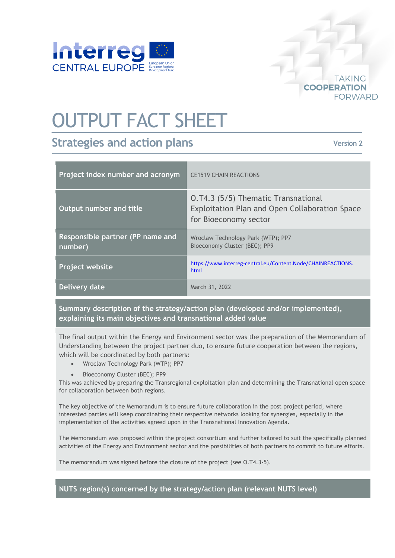

## OUTPUT FACT SHEET

## **Strategies and action plans**

**Version 2**

**TAKING** 

**FORWARD** 

**COOPERATION** 

| Project index number and acronym            | <b>CE1519 CHAIN REACTIONS</b>                                                                                  |
|---------------------------------------------|----------------------------------------------------------------------------------------------------------------|
| Output number and title                     | 0.74.3 (5/5) Thematic Transnational<br>Exploitation Plan and Open Collaboration Space<br>for Bioeconomy sector |
| Responsible partner (PP name and<br>number) | Wroclaw Technology Park (WTP); PP7<br>Bioeconomy Cluster (BEC); PP9                                            |
| <b>Project website</b>                      | https://www.interreg-central.eu/Content.Node/CHAINREACTIONS.<br>html                                           |
| Delivery date                               | March 31, 2022                                                                                                 |

**Summary description of the strategy/action plan (developed and/or implemented), explaining its main objectives and transnational added value**

The final output within the Energy and Environment sector was the preparation of the Memorandum of Understanding between the project partner duo, to ensure future cooperation between the regions, which will be coordinated by both partners:

- Wroclaw Technology Park (WTP); PP7
- Bioeconomy Cluster (BEC); PP9

This was achieved by preparing the Transregional exploitation plan and determining the Transnational open space for collaboration between both regions.

The key objective of the Memorandum is to ensure future collaboration in the post project period, where interested parties will keep coordinating their respective networks looking for synergies, especially in the implementation of the activities agreed upon in the Transnational Innovation Agenda.

The Memorandum was proposed within the project consortium and further tailored to suit the specifically planned activities of the Energy and Environment sector and the possibilities of both partners to commit to future efforts.

The memorandum was signed before the closure of the project (see O.T4.3-5).

**NUTS region(s) concerned by the strategy/action plan (relevant NUTS level)**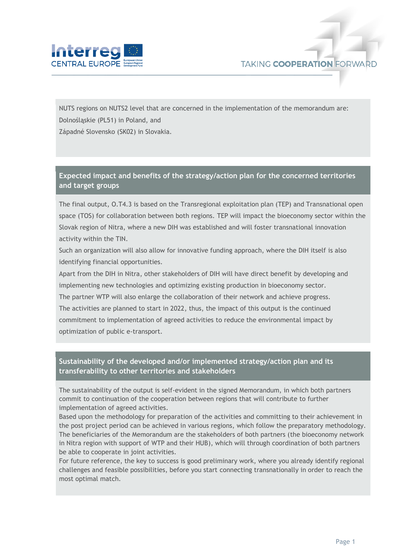

NUTS regions on NUTS2 level that are concerned in the implementation of the memorandum are: Dolnośląskie (PL51) in Poland, and

Západné Slovensko (SK02) in Slovakia.

## **Expected impact and benefits of the strategy/action plan for the concerned territories and target groups**

The final output, O.T4.3 is based on the Transregional exploitation plan (TEP) and Transnational open space (TOS) for collaboration between both regions. TEP will impact the bioeconomy sector within the Slovak region of Nitra, where a new DIH was established and will foster transnational innovation activity within the TIN.

Such an organization will also allow for innovative funding approach, where the DIH itself is also identifying financial opportunities.

Apart from the DIH in Nitra, other stakeholders of DIH will have direct benefit by developing and implementing new technologies and optimizing existing production in bioeconomy sector.

The partner WTP will also enlarge the collaboration of their network and achieve progress. The activities are planned to start in 2022, thus, the impact of this output is the continued commitment to implementation of agreed activities to reduce the environmental impact by optimization of public e-transport.

## **Sustainability of the developed and/or implemented strategy/action plan and its transferability to other territories and stakeholders**

The sustainability of the output is self-evident in the signed Memorandum, in which both partners commit to continuation of the cooperation between regions that will contribute to further implementation of agreed activities.

Based upon the methodology for preparation of the activities and committing to their achievement in the post project period can be achieved in various regions, which follow the preparatory methodology. The beneficiaries of the Memorandum are the stakeholders of both partners (the bioeconomy network in Nitra region with support of WTP and their HUB), which will through coordination of both partners be able to cooperate in joint activities.

For future reference, the key to success is good preliminary work, where you already identify regional challenges and feasible possibilities, before you start connecting transnationally in order to reach the most optimal match.